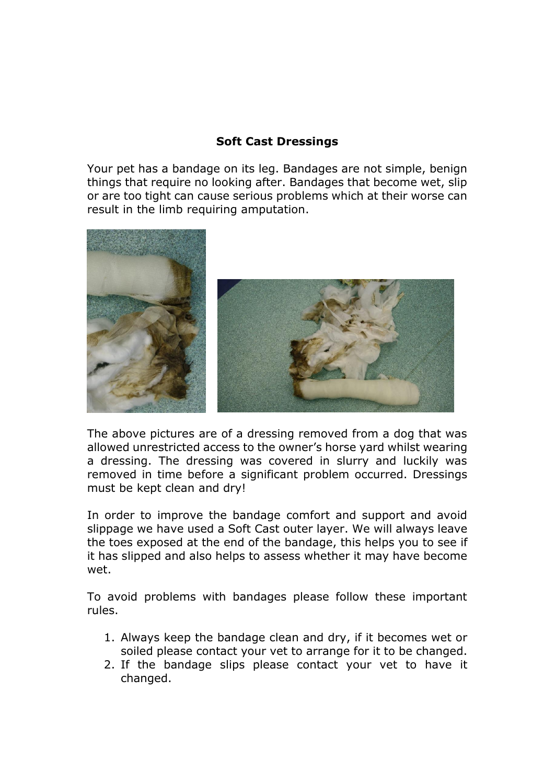## **Soft Cast Dressings**

Your pet has a bandage on its leg. Bandages are not simple, benign things that require no looking after. Bandages that become wet, slip or are too tight can cause serious problems which at their worse can result in the limb requiring amputation.



The above pictures are of a dressing removed from a dog that was allowed unrestricted access to the owner's horse yard whilst wearing a dressing. The dressing was covered in slurry and luckily was removed in time before a significant problem occurred. Dressings must be kept clean and dry!

In order to improve the bandage comfort and support and avoid slippage we have used a Soft Cast outer layer. We will always leave the toes exposed at the end of the bandage, this helps you to see if it has slipped and also helps to assess whether it may have become wet.

To avoid problems with bandages please follow these important rules.

- 1. Always keep the bandage clean and dry, if it becomes wet or soiled please contact your vet to arrange for it to be changed.
- 2. If the bandage slips please contact your vet to have it changed.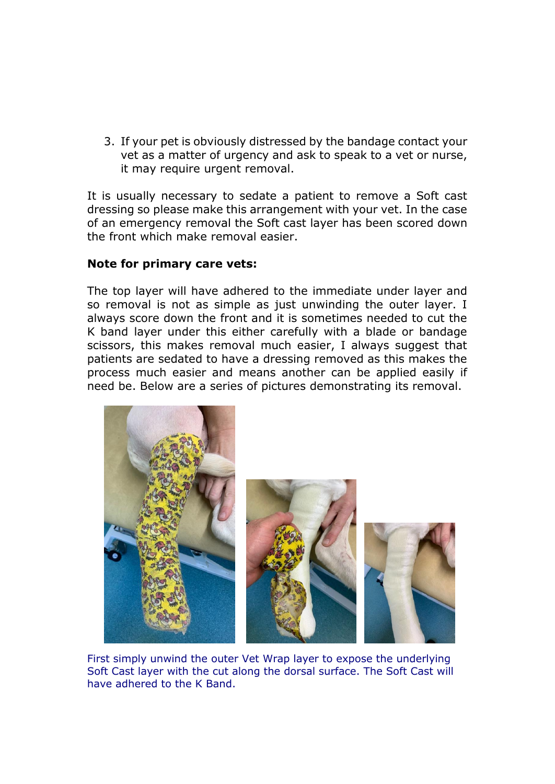3. If your pet is obviously distressed by the bandage contact your vet as a matter of urgency and ask to speak to a vet or nurse, it may require urgent removal.

It is usually necessary to sedate a patient to remove a Soft cast dressing so please make this arrangement with your vet. In the case of an emergency removal the Soft cast layer has been scored down the front which make removal easier.

## **Note for primary care vets:**

The top layer will have adhered to the immediate under layer and so removal is not as simple as just unwinding the outer layer. I always score down the front and it is sometimes needed to cut the K band layer under this either carefully with a blade or bandage scissors, this makes removal much easier, I always suggest that patients are sedated to have a dressing removed as this makes the process much easier and means another can be applied easily if need be. Below are a series of pictures demonstrating its removal.



First simply unwind the outer Vet Wrap layer to expose the underlying Soft Cast layer with the cut along the dorsal surface. The Soft Cast will have adhered to the K Band.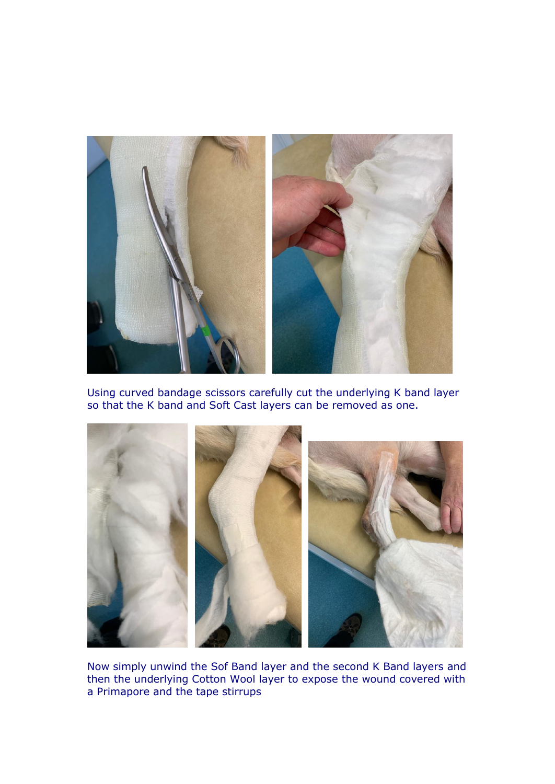

Using curved bandage scissors carefully cut the underlying K band layer so that the K band and Soft Cast layers can be removed as one.



Now simply unwind the Sof Band layer and the second K Band layers and then the underlying Cotton Wool layer to expose the wound covered with a Primapore and the tape stirrups